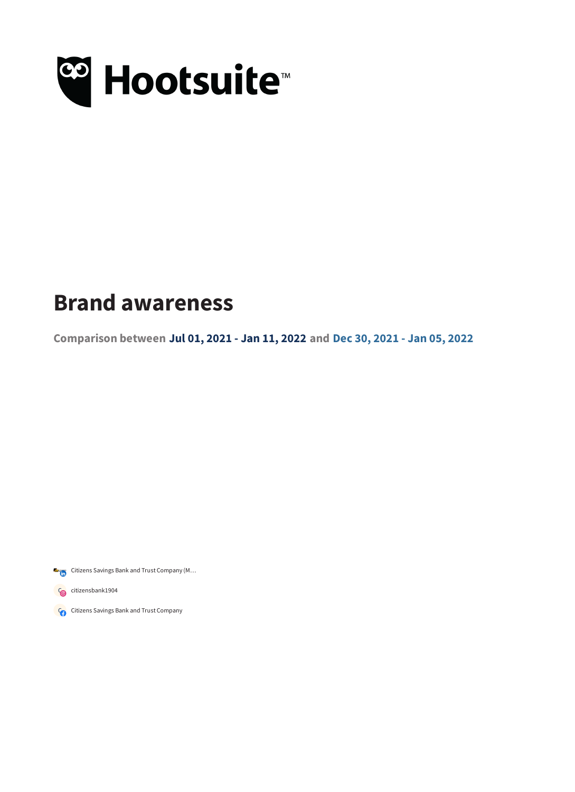

## **Brand awareness**

**Comparison between Jul 01, 2021 - Jan 11, 2022 and Dec 30, 2021 - Jan 05, 2022**

Citizens Savings Bank and Trust Company (M...

Concitizensbank1904

Concitizens Savings Bank and Trust Company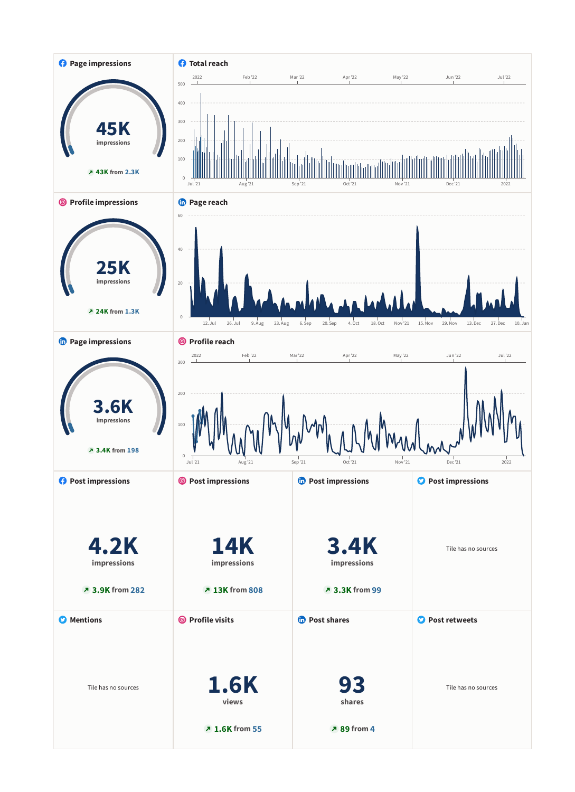